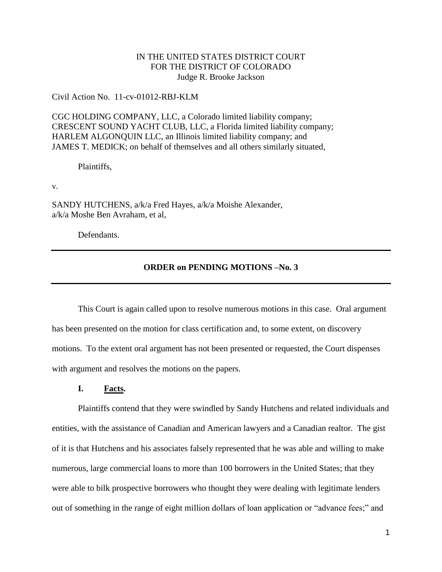# IN THE UNITED STATES DISTRICT COURT FOR THE DISTRICT OF COLORADO Judge R. Brooke Jackson

Civil Action No. 11-cv-01012-RBJ-KLM

CGC HOLDING COMPANY, LLC, a Colorado limited liability company; CRESCENT SOUND YACHT CLUB, LLC, a Florida limited liability company; HARLEM ALGONQUIN LLC, an Illinois limited liability company; and JAMES T. MEDICK; on behalf of themselves and all others similarly situated,

Plaintiffs,

v.

SANDY HUTCHENS, a/k/a Fred Hayes, a/k/a Moishe Alexander, a/k/a Moshe Ben Avraham, et al,

Defendants.

# **ORDER on PENDING MOTIONS –No. 3**

This Court is again called upon to resolve numerous motions in this case. Oral argument has been presented on the motion for class certification and, to some extent, on discovery motions. To the extent oral argument has not been presented or requested, the Court dispenses with argument and resolves the motions on the papers.

## **I. Facts.**

Plaintiffs contend that they were swindled by Sandy Hutchens and related individuals and entities, with the assistance of Canadian and American lawyers and a Canadian realtor. The gist of it is that Hutchens and his associates falsely represented that he was able and willing to make numerous, large commercial loans to more than 100 borrowers in the United States; that they were able to bilk prospective borrowers who thought they were dealing with legitimate lenders out of something in the range of eight million dollars of loan application or "advance fees;" and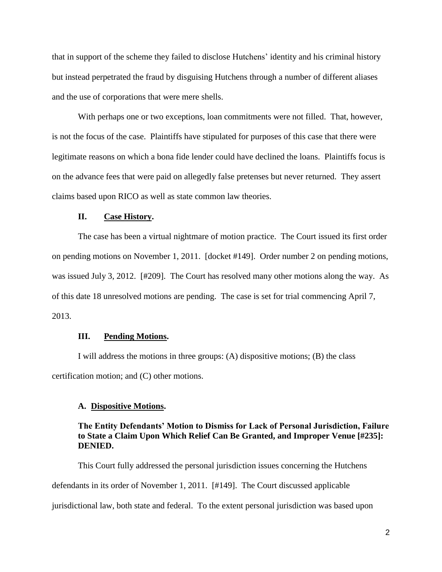that in support of the scheme they failed to disclose Hutchens' identity and his criminal history but instead perpetrated the fraud by disguising Hutchens through a number of different aliases and the use of corporations that were mere shells.

With perhaps one or two exceptions, loan commitments were not filled. That, however, is not the focus of the case. Plaintiffs have stipulated for purposes of this case that there were legitimate reasons on which a bona fide lender could have declined the loans. Plaintiffs focus is on the advance fees that were paid on allegedly false pretenses but never returned. They assert claims based upon RICO as well as state common law theories.

### **II. Case History.**

The case has been a virtual nightmare of motion practice. The Court issued its first order on pending motions on November 1, 2011. [docket #149]. Order number 2 on pending motions, was issued July 3, 2012. [#209]. The Court has resolved many other motions along the way. As of this date 18 unresolved motions are pending. The case is set for trial commencing April 7, 2013.

#### **III. Pending Motions.**

I will address the motions in three groups: (A) dispositive motions; (B) the class certification motion; and (C) other motions.

#### **A. Dispositive Motions.**

## **The Entity Defendants' Motion to Dismiss for Lack of Personal Jurisdiction, Failure to State a Claim Upon Which Relief Can Be Granted, and Improper Venue [#235]: DENIED.**

This Court fully addressed the personal jurisdiction issues concerning the Hutchens defendants in its order of November 1, 2011. [#149]. The Court discussed applicable jurisdictional law, both state and federal. To the extent personal jurisdiction was based upon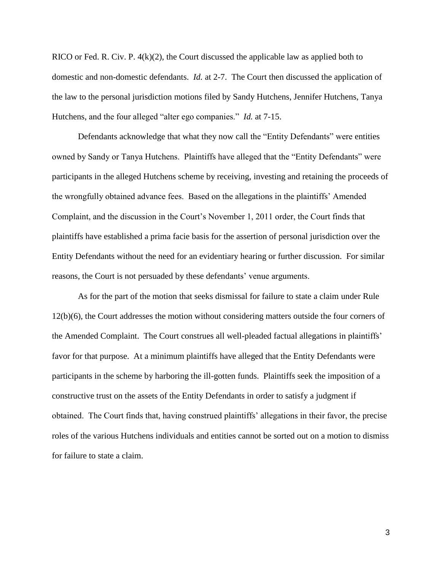RICO or Fed. R. Civ. P. 4(k)(2), the Court discussed the applicable law as applied both to domestic and non-domestic defendants. *Id.* at 2-7. The Court then discussed the application of the law to the personal jurisdiction motions filed by Sandy Hutchens, Jennifer Hutchens, Tanya Hutchens, and the four alleged "alter ego companies." *Id.* at 7-15.

Defendants acknowledge that what they now call the "Entity Defendants" were entities owned by Sandy or Tanya Hutchens. Plaintiffs have alleged that the "Entity Defendants" were participants in the alleged Hutchens scheme by receiving, investing and retaining the proceeds of the wrongfully obtained advance fees. Based on the allegations in the plaintiffs' Amended Complaint, and the discussion in the Court's November 1, 2011 order, the Court finds that plaintiffs have established a prima facie basis for the assertion of personal jurisdiction over the Entity Defendants without the need for an evidentiary hearing or further discussion. For similar reasons, the Court is not persuaded by these defendants' venue arguments.

As for the part of the motion that seeks dismissal for failure to state a claim under Rule 12(b)(6), the Court addresses the motion without considering matters outside the four corners of the Amended Complaint. The Court construes all well-pleaded factual allegations in plaintiffs' favor for that purpose. At a minimum plaintiffs have alleged that the Entity Defendants were participants in the scheme by harboring the ill-gotten funds. Plaintiffs seek the imposition of a constructive trust on the assets of the Entity Defendants in order to satisfy a judgment if obtained. The Court finds that, having construed plaintiffs' allegations in their favor, the precise roles of the various Hutchens individuals and entities cannot be sorted out on a motion to dismiss for failure to state a claim.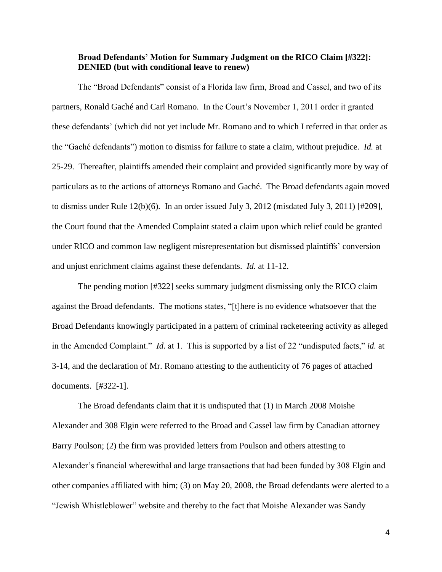# **Broad Defendants' Motion for Summary Judgment on the RICO Claim [#322]: DENIED (but with conditional leave to renew)**

The "Broad Defendants" consist of a Florida law firm, Broad and Cassel, and two of its partners, Ronald Gaché and Carl Romano. In the Court's November 1, 2011 order it granted these defendants' (which did not yet include Mr. Romano and to which I referred in that order as the "Gaché defendants") motion to dismiss for failure to state a claim, without prejudice. *Id.* at 25-29. Thereafter, plaintiffs amended their complaint and provided significantly more by way of particulars as to the actions of attorneys Romano and Gaché. The Broad defendants again moved to dismiss under Rule 12(b)(6). In an order issued July 3, 2012 (misdated July 3, 2011) [#209], the Court found that the Amended Complaint stated a claim upon which relief could be granted under RICO and common law negligent misrepresentation but dismissed plaintiffs' conversion and unjust enrichment claims against these defendants. *Id.* at 11-12.

The pending motion [#322] seeks summary judgment dismissing only the RICO claim against the Broad defendants. The motions states, "[t]here is no evidence whatsoever that the Broad Defendants knowingly participated in a pattern of criminal racketeering activity as alleged in the Amended Complaint." *Id.* at 1. This is supported by a list of 22 "undisputed facts," *id.* at 3-14, and the declaration of Mr. Romano attesting to the authenticity of 76 pages of attached documents. [#322-1].

The Broad defendants claim that it is undisputed that (1) in March 2008 Moishe Alexander and 308 Elgin were referred to the Broad and Cassel law firm by Canadian attorney Barry Poulson; (2) the firm was provided letters from Poulson and others attesting to Alexander's financial wherewithal and large transactions that had been funded by 308 Elgin and other companies affiliated with him; (3) on May 20, 2008, the Broad defendants were alerted to a "Jewish Whistleblower" website and thereby to the fact that Moishe Alexander was Sandy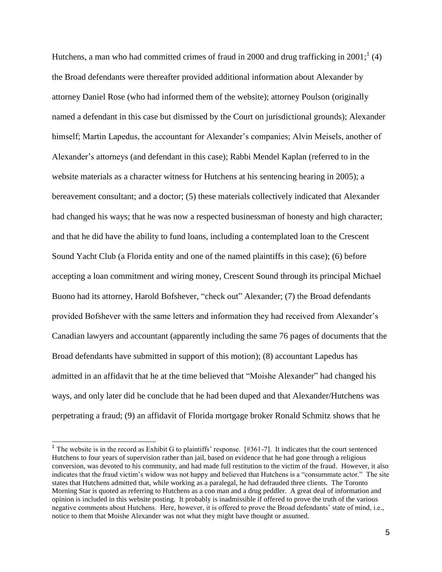Hutchens, a man who had committed crimes of fraud in 2000 and drug trafficking in 2001;  $(4)$ the Broad defendants were thereafter provided additional information about Alexander by attorney Daniel Rose (who had informed them of the website); attorney Poulson (originally named a defendant in this case but dismissed by the Court on jurisdictional grounds); Alexander himself; Martin Lapedus, the accountant for Alexander's companies; Alvin Meisels, another of Alexander's attorneys (and defendant in this case); Rabbi Mendel Kaplan (referred to in the website materials as a character witness for Hutchens at his sentencing hearing in 2005); a bereavement consultant; and a doctor; (5) these materials collectively indicated that Alexander had changed his ways; that he was now a respected businessman of honesty and high character; and that he did have the ability to fund loans, including a contemplated loan to the Crescent Sound Yacht Club (a Florida entity and one of the named plaintiffs in this case); (6) before accepting a loan commitment and wiring money, Crescent Sound through its principal Michael Buono had its attorney, Harold Bofshever, "check out" Alexander; (7) the Broad defendants provided Bofshever with the same letters and information they had received from Alexander's Canadian lawyers and accountant (apparently including the same 76 pages of documents that the Broad defendants have submitted in support of this motion); (8) accountant Lapedus has admitted in an affidavit that he at the time believed that "Moishe Alexander" had changed his ways, and only later did he conclude that he had been duped and that Alexander/Hutchens was perpetrating a fraud; (9) an affidavit of Florida mortgage broker Ronald Schmitz shows that he

<sup>&</sup>lt;sup>1</sup> The website is in the record as Exhibit G to plaintiffs' response. [#361-7]. It indicates that the court sentenced Hutchens to four years of supervision rather than jail, based on evidence that he had gone through a religious conversion, was devoted to his community, and had made full restitution to the victim of the fraud. However, it also indicates that the fraud victim's widow was not happy and believed that Hutchens is a "consummate actor." The site states that Hutchens admitted that, while working as a paralegal, he had defrauded three clients. The Toronto Morning Star is quoted as referring to Hutchens as a con man and a drug peddler. A great deal of information and opinion is included in this website posting. It probably is inadmissible if offered to prove the truth of the various negative comments about Hutchens. Here, however, it is offered to prove the Broad defendants' state of mind, i.e., notice to them that Moishe Alexander was not what they might have thought or assumed.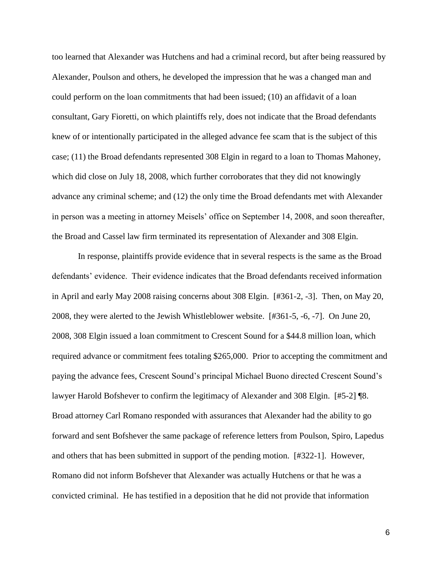too learned that Alexander was Hutchens and had a criminal record, but after being reassured by Alexander, Poulson and others, he developed the impression that he was a changed man and could perform on the loan commitments that had been issued; (10) an affidavit of a loan consultant, Gary Fioretti, on which plaintiffs rely, does not indicate that the Broad defendants knew of or intentionally participated in the alleged advance fee scam that is the subject of this case; (11) the Broad defendants represented 308 Elgin in regard to a loan to Thomas Mahoney, which did close on July 18, 2008, which further corroborates that they did not knowingly advance any criminal scheme; and (12) the only time the Broad defendants met with Alexander in person was a meeting in attorney Meisels' office on September 14, 2008, and soon thereafter, the Broad and Cassel law firm terminated its representation of Alexander and 308 Elgin.

In response, plaintiffs provide evidence that in several respects is the same as the Broad defendants' evidence. Their evidence indicates that the Broad defendants received information in April and early May 2008 raising concerns about 308 Elgin. [#361-2, -3]. Then, on May 20, 2008, they were alerted to the Jewish Whistleblower website. [#361-5, -6, -7]. On June 20, 2008, 308 Elgin issued a loan commitment to Crescent Sound for a \$44.8 million loan, which required advance or commitment fees totaling \$265,000. Prior to accepting the commitment and paying the advance fees, Crescent Sound's principal Michael Buono directed Crescent Sound's lawyer Harold Bofshever to confirm the legitimacy of Alexander and 308 Elgin. [#5-2] ¶8. Broad attorney Carl Romano responded with assurances that Alexander had the ability to go forward and sent Bofshever the same package of reference letters from Poulson, Spiro, Lapedus and others that has been submitted in support of the pending motion. [#322-1]. However, Romano did not inform Bofshever that Alexander was actually Hutchens or that he was a convicted criminal. He has testified in a deposition that he did not provide that information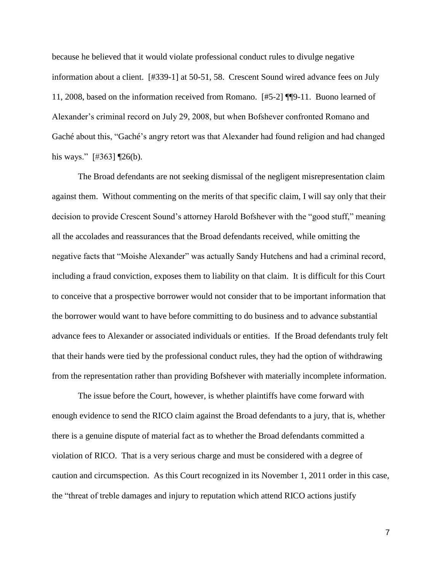because he believed that it would violate professional conduct rules to divulge negative information about a client. [#339-1] at 50-51, 58. Crescent Sound wired advance fees on July 11, 2008, based on the information received from Romano. [#5-2] ¶¶9-11. Buono learned of Alexander's criminal record on July 29, 2008, but when Bofshever confronted Romano and Gaché about this, "Gaché's angry retort was that Alexander had found religion and had changed his ways."  $[#363]$  [26(b).

The Broad defendants are not seeking dismissal of the negligent misrepresentation claim against them. Without commenting on the merits of that specific claim, I will say only that their decision to provide Crescent Sound's attorney Harold Bofshever with the "good stuff," meaning all the accolades and reassurances that the Broad defendants received, while omitting the negative facts that "Moishe Alexander" was actually Sandy Hutchens and had a criminal record, including a fraud conviction, exposes them to liability on that claim. It is difficult for this Court to conceive that a prospective borrower would not consider that to be important information that the borrower would want to have before committing to do business and to advance substantial advance fees to Alexander or associated individuals or entities. If the Broad defendants truly felt that their hands were tied by the professional conduct rules, they had the option of withdrawing from the representation rather than providing Bofshever with materially incomplete information.

The issue before the Court, however, is whether plaintiffs have come forward with enough evidence to send the RICO claim against the Broad defendants to a jury, that is, whether there is a genuine dispute of material fact as to whether the Broad defendants committed a violation of RICO. That is a very serious charge and must be considered with a degree of caution and circumspection. As this Court recognized in its November 1, 2011 order in this case, the "threat of treble damages and injury to reputation which attend RICO actions justify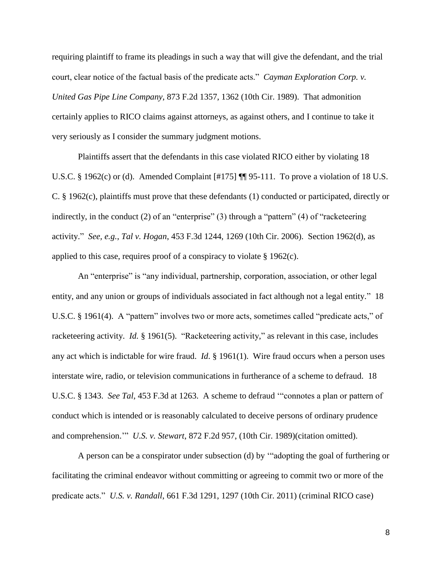requiring plaintiff to frame its pleadings in such a way that will give the defendant, and the trial court, clear notice of the factual basis of the predicate acts." *Cayman Exploration Corp. v. United Gas Pipe Line Company*, 873 F.2d 1357, 1362 (10th Cir. 1989). That admonition certainly applies to RICO claims against attorneys, as against others, and I continue to take it very seriously as I consider the summary judgment motions.

Plaintiffs assert that the defendants in this case violated RICO either by violating 18 U.S.C. § 1962(c) or (d). Amended Complaint [#175] ¶ 95-111. To prove a violation of 18 U.S. C. § 1962(c), plaintiffs must prove that these defendants (1) conducted or participated, directly or indirectly, in the conduct (2) of an "enterprise" (3) through a "pattern" (4) of "racketeering activity." *See, e.g.*, *Tal v. Hogan*, 453 F.3d 1244, 1269 (10th Cir. 2006). Section 1962(d), as applied to this case, requires proof of a conspiracy to violate § 1962(c).

An "enterprise" is "any individual, partnership, corporation, association, or other legal entity, and any union or groups of individuals associated in fact although not a legal entity." 18 U.S.C. § 1961(4). A "pattern" involves two or more acts, sometimes called "predicate acts," of racketeering activity. *Id.* § 1961(5). "Racketeering activity," as relevant in this case, includes any act which is indictable for wire fraud. *Id*. § 1961(1). Wire fraud occurs when a person uses interstate wire, radio, or television communications in furtherance of a scheme to defraud. 18 U.S.C. § 1343. *See Tal*, 453 F.3d at 1263. A scheme to defraud '"connotes a plan or pattern of conduct which is intended or is reasonably calculated to deceive persons of ordinary prudence and comprehension.'" *U.S. v. Stewart*, 872 F.2d 957, (10th Cir. 1989)(citation omitted).

A person can be a conspirator under subsection (d) by '"adopting the goal of furthering or facilitating the criminal endeavor without committing or agreeing to commit two or more of the predicate acts." *U.S. v. Randall*, 661 F.3d 1291, 1297 (10th Cir. 2011) (criminal RICO case)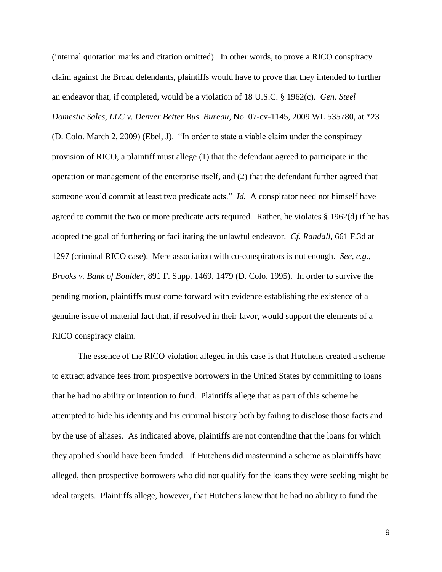(internal quotation marks and citation omitted). In other words, to prove a RICO conspiracy claim against the Broad defendants, plaintiffs would have to prove that they intended to further an endeavor that, if completed, would be a violation of 18 U.S.C. § 1962(c). *Gen. Steel Domestic Sales, LLC v. Denver Better Bus. Bureau*, No. 07-cv-1145, 2009 WL 535780, at \*23 (D. Colo. March 2, 2009) (Ebel, J). "In order to state a viable claim under the conspiracy provision of RICO, a plaintiff must allege (1) that the defendant agreed to participate in the operation or management of the enterprise itself, and (2) that the defendant further agreed that someone would commit at least two predicate acts." *Id.* A conspirator need not himself have agreed to commit the two or more predicate acts required. Rather, he violates § 1962(d) if he has adopted the goal of furthering or facilitating the unlawful endeavor. *Cf. Randall*, 661 F.3d at 1297 (criminal RICO case). Mere association with co-conspirators is not enough. *See, e.g.*, *Brooks v. Bank of Boulder*, 891 F. Supp. 1469, 1479 (D. Colo. 1995). In order to survive the pending motion, plaintiffs must come forward with evidence establishing the existence of a genuine issue of material fact that, if resolved in their favor, would support the elements of a RICO conspiracy claim.

The essence of the RICO violation alleged in this case is that Hutchens created a scheme to extract advance fees from prospective borrowers in the United States by committing to loans that he had no ability or intention to fund. Plaintiffs allege that as part of this scheme he attempted to hide his identity and his criminal history both by failing to disclose those facts and by the use of aliases. As indicated above, plaintiffs are not contending that the loans for which they applied should have been funded. If Hutchens did mastermind a scheme as plaintiffs have alleged, then prospective borrowers who did not qualify for the loans they were seeking might be ideal targets. Plaintiffs allege, however, that Hutchens knew that he had no ability to fund the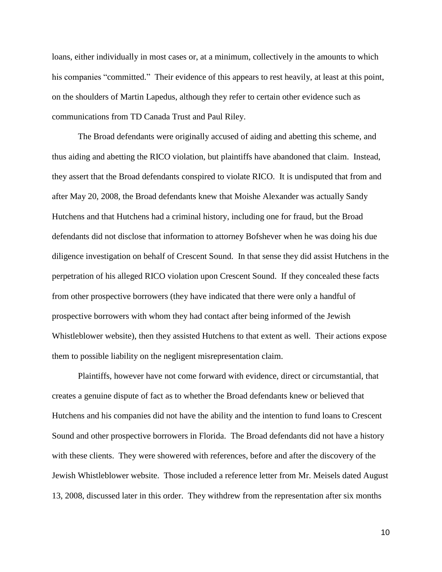loans, either individually in most cases or, at a minimum, collectively in the amounts to which his companies "committed." Their evidence of this appears to rest heavily, at least at this point, on the shoulders of Martin Lapedus, although they refer to certain other evidence such as communications from TD Canada Trust and Paul Riley.

The Broad defendants were originally accused of aiding and abetting this scheme, and thus aiding and abetting the RICO violation, but plaintiffs have abandoned that claim. Instead, they assert that the Broad defendants conspired to violate RICO. It is undisputed that from and after May 20, 2008, the Broad defendants knew that Moishe Alexander was actually Sandy Hutchens and that Hutchens had a criminal history, including one for fraud, but the Broad defendants did not disclose that information to attorney Bofshever when he was doing his due diligence investigation on behalf of Crescent Sound. In that sense they did assist Hutchens in the perpetration of his alleged RICO violation upon Crescent Sound. If they concealed these facts from other prospective borrowers (they have indicated that there were only a handful of prospective borrowers with whom they had contact after being informed of the Jewish Whistleblower website), then they assisted Hutchens to that extent as well. Their actions expose them to possible liability on the negligent misrepresentation claim.

Plaintiffs, however have not come forward with evidence, direct or circumstantial, that creates a genuine dispute of fact as to whether the Broad defendants knew or believed that Hutchens and his companies did not have the ability and the intention to fund loans to Crescent Sound and other prospective borrowers in Florida. The Broad defendants did not have a history with these clients. They were showered with references, before and after the discovery of the Jewish Whistleblower website. Those included a reference letter from Mr. Meisels dated August 13, 2008, discussed later in this order. They withdrew from the representation after six months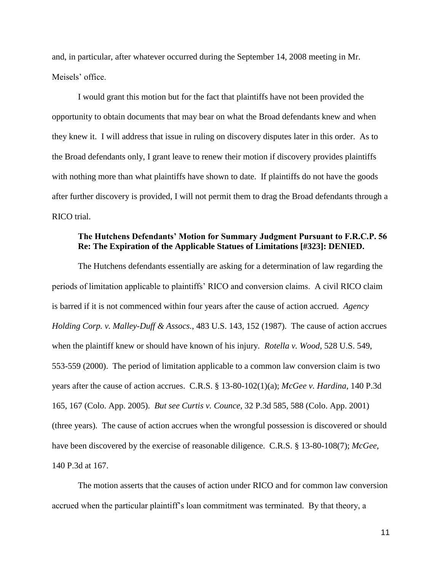and, in particular, after whatever occurred during the September 14, 2008 meeting in Mr. Meisels' office.

I would grant this motion but for the fact that plaintiffs have not been provided the opportunity to obtain documents that may bear on what the Broad defendants knew and when they knew it. I will address that issue in ruling on discovery disputes later in this order. As to the Broad defendants only, I grant leave to renew their motion if discovery provides plaintiffs with nothing more than what plaintiffs have shown to date. If plaintiffs do not have the goods after further discovery is provided, I will not permit them to drag the Broad defendants through a RICO trial.

# **The Hutchens Defendants' Motion for Summary Judgment Pursuant to F.R.C.P. 56 Re: The Expiration of the Applicable Statues of Limitations [#323]: DENIED.**

The Hutchens defendants essentially are asking for a determination of law regarding the periods of limitation applicable to plaintiffs' RICO and conversion claims. A civil RICO claim is barred if it is not commenced within four years after the cause of action accrued. *Agency Holding Corp. v. Malley-Duff & Assocs.*, 483 U.S. 143, 152 (1987). The cause of action accrues when the plaintiff knew or should have known of his injury. *Rotella v. Wood*, 528 U.S. 549, 553-559 (2000). The period of limitation applicable to a common law conversion claim is two years after the cause of action accrues. C.R.S. § 13-80-102(1)(a); *McGee v. Hardina*, 140 P.3d 165, 167 (Colo. App. 2005). *But see Curtis v. Counce*, 32 P.3d 585, 588 (Colo. App. 2001) (three years). The cause of action accrues when the wrongful possession is discovered or should have been discovered by the exercise of reasonable diligence. C.R.S. § 13-80-108(7); *McGee*, 140 P.3d at 167.

The motion asserts that the causes of action under RICO and for common law conversion accrued when the particular plaintiff's loan commitment was terminated. By that theory, a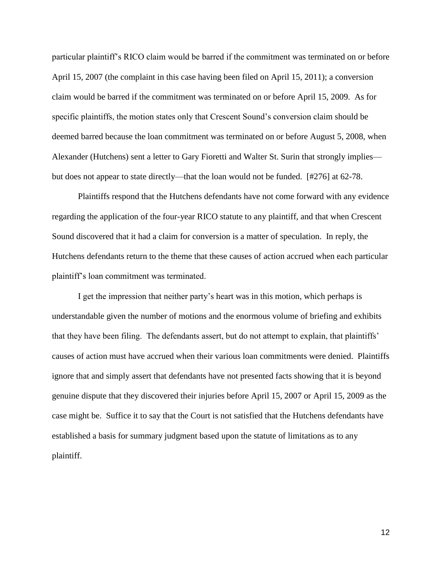particular plaintiff's RICO claim would be barred if the commitment was terminated on or before April 15, 2007 (the complaint in this case having been filed on April 15, 2011); a conversion claim would be barred if the commitment was terminated on or before April 15, 2009. As for specific plaintiffs, the motion states only that Crescent Sound's conversion claim should be deemed barred because the loan commitment was terminated on or before August 5, 2008, when Alexander (Hutchens) sent a letter to Gary Fioretti and Walter St. Surin that strongly implies but does not appear to state directly—that the loan would not be funded. [#276] at 62-78.

Plaintiffs respond that the Hutchens defendants have not come forward with any evidence regarding the application of the four-year RICO statute to any plaintiff, and that when Crescent Sound discovered that it had a claim for conversion is a matter of speculation. In reply, the Hutchens defendants return to the theme that these causes of action accrued when each particular plaintiff's loan commitment was terminated.

I get the impression that neither party's heart was in this motion, which perhaps is understandable given the number of motions and the enormous volume of briefing and exhibits that they have been filing. The defendants assert, but do not attempt to explain, that plaintiffs' causes of action must have accrued when their various loan commitments were denied. Plaintiffs ignore that and simply assert that defendants have not presented facts showing that it is beyond genuine dispute that they discovered their injuries before April 15, 2007 or April 15, 2009 as the case might be. Suffice it to say that the Court is not satisfied that the Hutchens defendants have established a basis for summary judgment based upon the statute of limitations as to any plaintiff.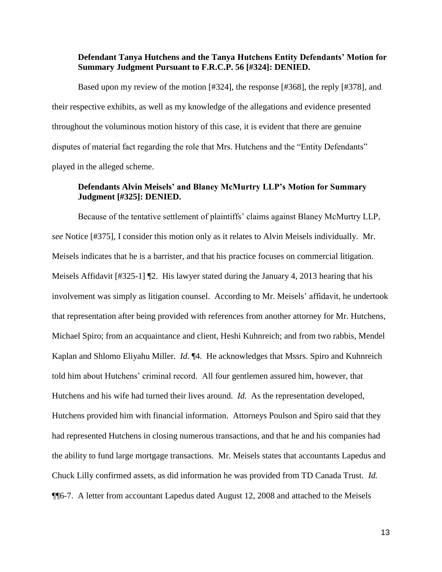## **Defendant Tanya Hutchens and the Tanya Hutchens Entity Defendants' Motion for Summary Judgment Pursuant to F.R.C.P. 56 [#324]: DENIED.**

Based upon my review of the motion [#324], the response [#368], the reply [#378], and their respective exhibits, as well as my knowledge of the allegations and evidence presented throughout the voluminous motion history of this case, it is evident that there are genuine disputes of material fact regarding the role that Mrs. Hutchens and the "Entity Defendants" played in the alleged scheme.

# **Defendants Alvin Meisels' and Blaney McMurtry LLP's Motion for Summary Judgment [#325]: DENIED.**

Because of the tentative settlement of plaintiffs' claims against Blaney McMurtry LLP, *see* Notice [#375], I consider this motion only as it relates to Alvin Meisels individually. Mr. Meisels indicates that he is a barrister, and that his practice focuses on commercial litigation. Meisels Affidavit [#325-1] ¶2. His lawyer stated during the January 4, 2013 hearing that his involvement was simply as litigation counsel. According to Mr. Meisels' affidavit, he undertook that representation after being provided with references from another attorney for Mr. Hutchens, Michael Spiro; from an acquaintance and client, Heshi Kuhnreich; and from two rabbis, Mendel Kaplan and Shlomo Eliyahu Miller. *Id.* ¶4. He acknowledges that Mssrs. Spiro and Kuhnreich told him about Hutchens' criminal record. All four gentlemen assured him, however, that Hutchens and his wife had turned their lives around. *Id.* As the representation developed, Hutchens provided him with financial information. Attorneys Poulson and Spiro said that they had represented Hutchens in closing numerous transactions, and that he and his companies had the ability to fund large mortgage transactions. Mr. Meisels states that accountants Lapedus and Chuck Lilly confirmed assets, as did information he was provided from TD Canada Trust. *Id.*  ¶¶6-7. A letter from accountant Lapedus dated August 12, 2008 and attached to the Meisels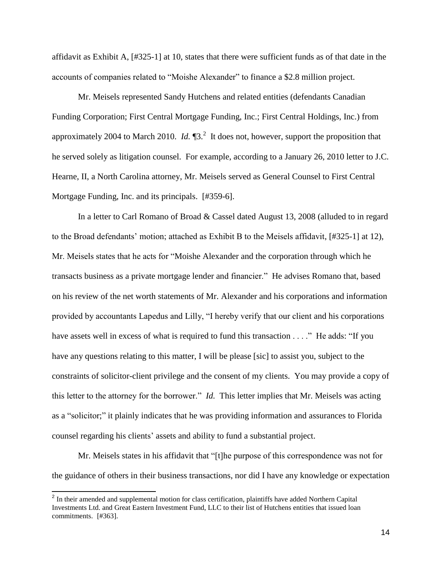affidavit as Exhibit A, [#325-1] at 10, states that there were sufficient funds as of that date in the accounts of companies related to "Moishe Alexander" to finance a \$2.8 million project.

Mr. Meisels represented Sandy Hutchens and related entities (defendants Canadian Funding Corporation; First Central Mortgage Funding, Inc.; First Central Holdings, Inc.) from approximately 2004 to March 2010.  $Id.$   $\P$ 3.<sup>2</sup> It does not, however, support the proposition that he served solely as litigation counsel. For example, according to a January 26, 2010 letter to J.C. Hearne, II, a North Carolina attorney, Mr. Meisels served as General Counsel to First Central Mortgage Funding, Inc. and its principals. [#359-6].

In a letter to Carl Romano of Broad & Cassel dated August 13, 2008 (alluded to in regard to the Broad defendants' motion; attached as Exhibit B to the Meisels affidavit, [#325-1] at 12), Mr. Meisels states that he acts for "Moishe Alexander and the corporation through which he transacts business as a private mortgage lender and financier." He advises Romano that, based on his review of the net worth statements of Mr. Alexander and his corporations and information provided by accountants Lapedus and Lilly, "I hereby verify that our client and his corporations have assets well in excess of what is required to fund this transaction . . . ." He adds: "If you have any questions relating to this matter, I will be please [sic] to assist you, subject to the constraints of solicitor-client privilege and the consent of my clients. You may provide a copy of this letter to the attorney for the borrower." *Id.* This letter implies that Mr. Meisels was acting as a "solicitor;" it plainly indicates that he was providing information and assurances to Florida counsel regarding his clients' assets and ability to fund a substantial project.

Mr. Meisels states in his affidavit that "[t]he purpose of this correspondence was not for the guidance of others in their business transactions, nor did I have any knowledge or expectation

<sup>&</sup>lt;sup>2</sup> In their amended and supplemental motion for class certification, plaintiffs have added Northern Capital Investments Ltd. and Great Eastern Investment Fund, LLC to their list of Hutchens entities that issued loan commitments. [#363].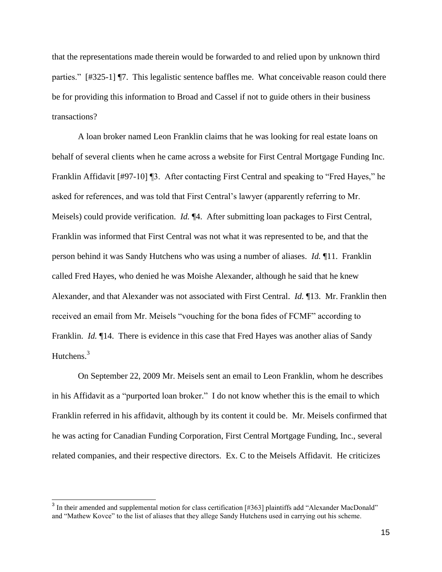that the representations made therein would be forwarded to and relied upon by unknown third parties." [#325-1] ¶7. This legalistic sentence baffles me. What conceivable reason could there be for providing this information to Broad and Cassel if not to guide others in their business transactions?

A loan broker named Leon Franklin claims that he was looking for real estate loans on behalf of several clients when he came across a website for First Central Mortgage Funding Inc. Franklin Affidavit [#97-10] ¶3. After contacting First Central and speaking to "Fred Hayes," he asked for references, and was told that First Central's lawyer (apparently referring to Mr. Meisels) could provide verification. *Id.* ¶4. After submitting loan packages to First Central, Franklin was informed that First Central was not what it was represented to be, and that the person behind it was Sandy Hutchens who was using a number of aliases. *Id.* ¶11. Franklin called Fred Hayes, who denied he was Moishe Alexander, although he said that he knew Alexander, and that Alexander was not associated with First Central. *Id.* ¶13. Mr. Franklin then received an email from Mr. Meisels "vouching for the bona fides of FCMF" according to Franklin. *Id.* 14. There is evidence in this case that Fred Hayes was another alias of Sandy Hutchens.<sup>3</sup>

On September 22, 2009 Mr. Meisels sent an email to Leon Franklin, whom he describes in his Affidavit as a "purported loan broker." I do not know whether this is the email to which Franklin referred in his affidavit, although by its content it could be. Mr. Meisels confirmed that he was acting for Canadian Funding Corporation, First Central Mortgage Funding, Inc., several related companies, and their respective directors. Ex. C to the Meisels Affidavit. He criticizes

 $3$  In their amended and supplemental motion for class certification [#363] plaintiffs add "Alexander MacDonald" and "Mathew Kovce" to the list of aliases that they allege Sandy Hutchens used in carrying out his scheme.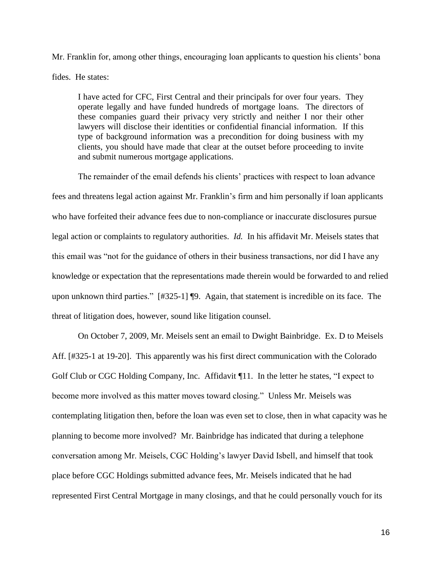Mr. Franklin for, among other things, encouraging loan applicants to question his clients' bona fides. He states:

I have acted for CFC, First Central and their principals for over four years. They operate legally and have funded hundreds of mortgage loans. The directors of these companies guard their privacy very strictly and neither I nor their other lawyers will disclose their identities or confidential financial information. If this type of background information was a precondition for doing business with my clients, you should have made that clear at the outset before proceeding to invite and submit numerous mortgage applications.

The remainder of the email defends his clients' practices with respect to loan advance fees and threatens legal action against Mr. Franklin's firm and him personally if loan applicants who have forfeited their advance fees due to non-compliance or inaccurate disclosures pursue legal action or complaints to regulatory authorities. *Id.* In his affidavit Mr. Meisels states that this email was "not for the guidance of others in their business transactions, nor did I have any knowledge or expectation that the representations made therein would be forwarded to and relied upon unknown third parties." [#325-1] ¶9. Again, that statement is incredible on its face. The threat of litigation does, however, sound like litigation counsel.

On October 7, 2009, Mr. Meisels sent an email to Dwight Bainbridge. Ex. D to Meisels Aff. [#325-1 at 19-20]. This apparently was his first direct communication with the Colorado Golf Club or CGC Holding Company, Inc. Affidavit  $\P 11$ . In the letter he states, "I expect to become more involved as this matter moves toward closing." Unless Mr. Meisels was contemplating litigation then, before the loan was even set to close, then in what capacity was he planning to become more involved? Mr. Bainbridge has indicated that during a telephone conversation among Mr. Meisels, CGC Holding's lawyer David Isbell, and himself that took place before CGC Holdings submitted advance fees, Mr. Meisels indicated that he had represented First Central Mortgage in many closings, and that he could personally vouch for its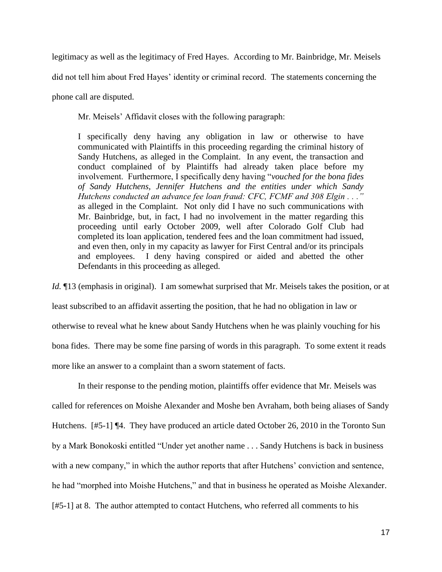legitimacy as well as the legitimacy of Fred Hayes. According to Mr. Bainbridge, Mr. Meisels

did not tell him about Fred Hayes' identity or criminal record. The statements concerning the

phone call are disputed.

Mr. Meisels' Affidavit closes with the following paragraph:

I specifically deny having any obligation in law or otherwise to have communicated with Plaintiffs in this proceeding regarding the criminal history of Sandy Hutchens, as alleged in the Complaint. In any event, the transaction and conduct complained of by Plaintiffs had already taken place before my involvement. Furthermore, I specifically deny having "*vouched for the bona fides of Sandy Hutchens, Jennifer Hutchens and the entities under which Sandy Hutchens conducted an advance fee loan fraud: CFC, FCMF and 308 Elgin . . ."*  as alleged in the Complaint. Not only did I have no such communications with Mr. Bainbridge, but, in fact, I had no involvement in the matter regarding this proceeding until early October 2009, well after Colorado Golf Club had completed its loan application, tendered fees and the loan commitment had issued, and even then, only in my capacity as lawyer for First Central and/or its principals and employees. I deny having conspired or aided and abetted the other Defendants in this proceeding as alleged.

*Id.*  $\P$ 13 (emphasis in original). I am somewhat surprised that Mr. Meisels takes the position, or at least subscribed to an affidavit asserting the position, that he had no obligation in law or otherwise to reveal what he knew about Sandy Hutchens when he was plainly vouching for his bona fides. There may be some fine parsing of words in this paragraph. To some extent it reads more like an answer to a complaint than a sworn statement of facts.

In their response to the pending motion, plaintiffs offer evidence that Mr. Meisels was called for references on Moishe Alexander and Moshe ben Avraham, both being aliases of Sandy Hutchens. [#5-1] ¶4. They have produced an article dated October 26, 2010 in the Toronto Sun by a Mark Bonokoski entitled "Under yet another name . . . Sandy Hutchens is back in business with a new company," in which the author reports that after Hutchens' conviction and sentence, he had "morphed into Moishe Hutchens," and that in business he operated as Moishe Alexander. [#5-1] at 8. The author attempted to contact Hutchens, who referred all comments to his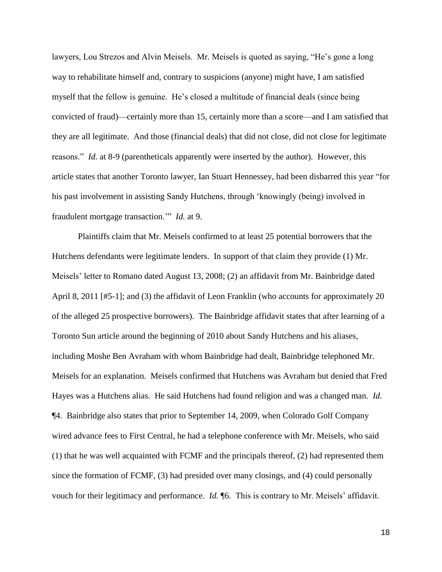lawyers, Lou Strezos and Alvin Meisels. Mr. Meisels is quoted as saying, "He's gone a long way to rehabilitate himself and, contrary to suspicions (anyone) might have, I am satisfied myself that the fellow is genuine. He's closed a multitude of financial deals (since being convicted of fraud)—certainly more than 15, certainly more than a score—and I am satisfied that they are all legitimate. And those (financial deals) that did not close, did not close for legitimate reasons." *Id.* at 8-9 (parentheticals apparently were inserted by the author). However, this article states that another Toronto lawyer, Ian Stuart Hennessey, had been disbarred this year "for his past involvement in assisting Sandy Hutchens, through 'knowingly (being) involved in fraudulent mortgage transaction.'" *Id.* at 9.

Plaintiffs claim that Mr. Meisels confirmed to at least 25 potential borrowers that the Hutchens defendants were legitimate lenders. In support of that claim they provide (1) Mr. Meisels' letter to Romano dated August 13, 2008; (2) an affidavit from Mr. Bainbridge dated April 8, 2011 [#5-1]; and (3) the affidavit of Leon Franklin (who accounts for approximately 20 of the alleged 25 prospective borrowers). The Bainbridge affidavit states that after learning of a Toronto Sun article around the beginning of 2010 about Sandy Hutchens and his aliases, including Moshe Ben Avraham with whom Bainbridge had dealt, Bainbridge telephoned Mr. Meisels for an explanation. Meisels confirmed that Hutchens was Avraham but denied that Fred Hayes was a Hutchens alias. He said Hutchens had found religion and was a changed man. *Id.*  ¶4. Bainbridge also states that prior to September 14, 2009, when Colorado Golf Company wired advance fees to First Central, he had a telephone conference with Mr. Meisels, who said (1) that he was well acquainted with FCMF and the principals thereof, (2) had represented them since the formation of FCMF, (3) had presided over many closings, and (4) could personally vouch for their legitimacy and performance. *Id.* ¶6. This is contrary to Mr. Meisels' affidavit.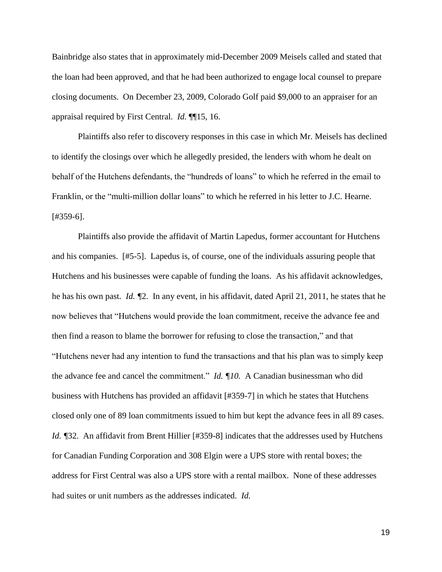Bainbridge also states that in approximately mid-December 2009 Meisels called and stated that the loan had been approved, and that he had been authorized to engage local counsel to prepare closing documents. On December 23, 2009, Colorado Golf paid \$9,000 to an appraiser for an appraisal required by First Central. *Id.* ¶¶15, 16.

Plaintiffs also refer to discovery responses in this case in which Mr. Meisels has declined to identify the closings over which he allegedly presided, the lenders with whom he dealt on behalf of the Hutchens defendants, the "hundreds of loans" to which he referred in the email to Franklin, or the "multi-million dollar loans" to which he referred in his letter to J.C. Hearne. [#359-6].

Plaintiffs also provide the affidavit of Martin Lapedus, former accountant for Hutchens and his companies. [#5-5]. Lapedus is, of course, one of the individuals assuring people that Hutchens and his businesses were capable of funding the loans. As his affidavit acknowledges, he has his own past. *Id. ¶*2. In any event, in his affidavit, dated April 21, 2011, he states that he now believes that "Hutchens would provide the loan commitment, receive the advance fee and then find a reason to blame the borrower for refusing to close the transaction," and that "Hutchens never had any intention to fund the transactions and that his plan was to simply keep the advance fee and cancel the commitment." *Id. ¶10.* A Canadian businessman who did business with Hutchens has provided an affidavit [#359-7] in which he states that Hutchens closed only one of 89 loan commitments issued to him but kept the advance fees in all 89 cases. *Id.* ¶32. An affidavit from Brent Hillier [#359-8] indicates that the addresses used by Hutchens for Canadian Funding Corporation and 308 Elgin were a UPS store with rental boxes; the address for First Central was also a UPS store with a rental mailbox. None of these addresses had suites or unit numbers as the addresses indicated. *Id.*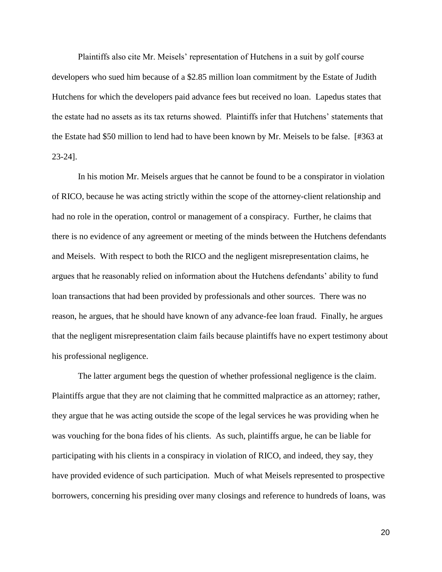Plaintiffs also cite Mr. Meisels' representation of Hutchens in a suit by golf course developers who sued him because of a \$2.85 million loan commitment by the Estate of Judith Hutchens for which the developers paid advance fees but received no loan. Lapedus states that the estate had no assets as its tax returns showed. Plaintiffs infer that Hutchens' statements that the Estate had \$50 million to lend had to have been known by Mr. Meisels to be false. [#363 at 23-24].

In his motion Mr. Meisels argues that he cannot be found to be a conspirator in violation of RICO, because he was acting strictly within the scope of the attorney-client relationship and had no role in the operation, control or management of a conspiracy. Further, he claims that there is no evidence of any agreement or meeting of the minds between the Hutchens defendants and Meisels. With respect to both the RICO and the negligent misrepresentation claims, he argues that he reasonably relied on information about the Hutchens defendants' ability to fund loan transactions that had been provided by professionals and other sources. There was no reason, he argues, that he should have known of any advance-fee loan fraud. Finally, he argues that the negligent misrepresentation claim fails because plaintiffs have no expert testimony about his professional negligence.

The latter argument begs the question of whether professional negligence is the claim. Plaintiffs argue that they are not claiming that he committed malpractice as an attorney; rather, they argue that he was acting outside the scope of the legal services he was providing when he was vouching for the bona fides of his clients. As such, plaintiffs argue, he can be liable for participating with his clients in a conspiracy in violation of RICO, and indeed, they say, they have provided evidence of such participation. Much of what Meisels represented to prospective borrowers, concerning his presiding over many closings and reference to hundreds of loans, was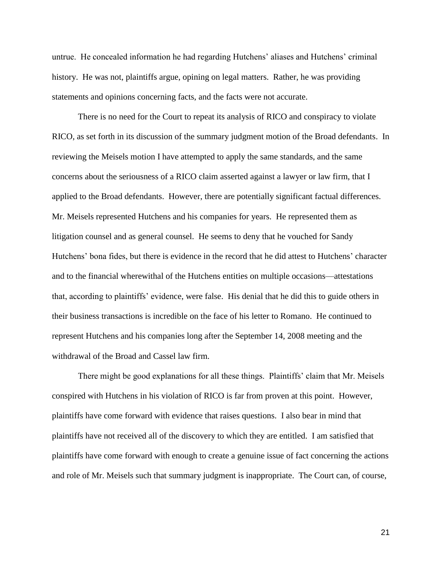untrue. He concealed information he had regarding Hutchens' aliases and Hutchens' criminal history. He was not, plaintiffs argue, opining on legal matters. Rather, he was providing statements and opinions concerning facts, and the facts were not accurate.

There is no need for the Court to repeat its analysis of RICO and conspiracy to violate RICO, as set forth in its discussion of the summary judgment motion of the Broad defendants. In reviewing the Meisels motion I have attempted to apply the same standards, and the same concerns about the seriousness of a RICO claim asserted against a lawyer or law firm, that I applied to the Broad defendants. However, there are potentially significant factual differences. Mr. Meisels represented Hutchens and his companies for years. He represented them as litigation counsel and as general counsel. He seems to deny that he vouched for Sandy Hutchens' bona fides, but there is evidence in the record that he did attest to Hutchens' character and to the financial wherewithal of the Hutchens entities on multiple occasions—attestations that, according to plaintiffs' evidence, were false. His denial that he did this to guide others in their business transactions is incredible on the face of his letter to Romano. He continued to represent Hutchens and his companies long after the September 14, 2008 meeting and the withdrawal of the Broad and Cassel law firm.

There might be good explanations for all these things. Plaintiffs' claim that Mr. Meisels conspired with Hutchens in his violation of RICO is far from proven at this point. However, plaintiffs have come forward with evidence that raises questions. I also bear in mind that plaintiffs have not received all of the discovery to which they are entitled. I am satisfied that plaintiffs have come forward with enough to create a genuine issue of fact concerning the actions and role of Mr. Meisels such that summary judgment is inappropriate. The Court can, of course,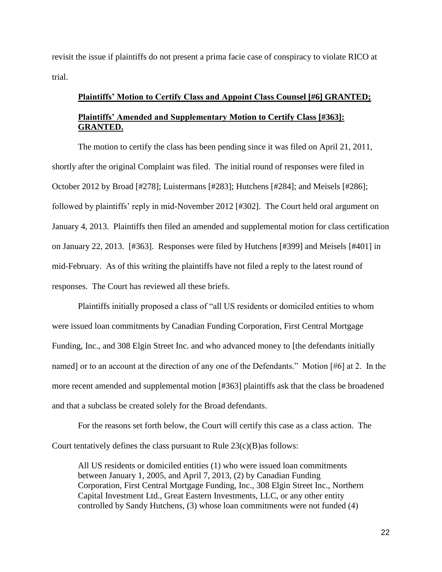revisit the issue if plaintiffs do not present a prima facie case of conspiracy to violate RICO at trial.

# **Plaintiffs' Motion to Certify Class and Appoint Class Counsel [#6] GRANTED; Plaintiffs' Amended and Supplementary Motion to Certify Class [#363]: GRANTED.**

The motion to certify the class has been pending since it was filed on April 21, 2011, shortly after the original Complaint was filed. The initial round of responses were filed in October 2012 by Broad [#278]; Luistermans [#283]; Hutchens [#284]; and Meisels [#286]; followed by plaintiffs' reply in mid-November 2012 [#302]. The Court held oral argument on January 4, 2013. Plaintiffs then filed an amended and supplemental motion for class certification on January 22, 2013. [#363]. Responses were filed by Hutchens [#399] and Meisels [#401] in mid-February. As of this writing the plaintiffs have not filed a reply to the latest round of responses. The Court has reviewed all these briefs.

Plaintiffs initially proposed a class of "all US residents or domiciled entities to whom were issued loan commitments by Canadian Funding Corporation, First Central Mortgage Funding, Inc., and 308 Elgin Street Inc. and who advanced money to [the defendants initially named] or to an account at the direction of any one of the Defendants." Motion [#6] at 2. In the more recent amended and supplemental motion [#363] plaintiffs ask that the class be broadened and that a subclass be created solely for the Broad defendants.

For the reasons set forth below, the Court will certify this case as a class action. The Court tentatively defines the class pursuant to Rule  $23(c)(B)$  as follows:

All US residents or domiciled entities (1) who were issued loan commitments between January 1, 2005, and April 7, 2013, (2) by Canadian Funding Corporation, First Central Mortgage Funding, Inc., 308 Elgin Street Inc., Northern Capital Investment Ltd., Great Eastern Investments, LLC, or any other entity controlled by Sandy Hutchens, (3) whose loan commitments were not funded (4)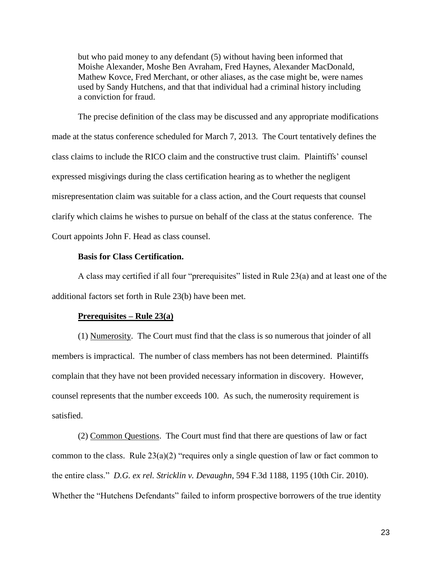but who paid money to any defendant (5) without having been informed that Moishe Alexander, Moshe Ben Avraham, Fred Haynes, Alexander MacDonald, Mathew Kovce, Fred Merchant, or other aliases, as the case might be, were names used by Sandy Hutchens, and that that individual had a criminal history including a conviction for fraud.

The precise definition of the class may be discussed and any appropriate modifications made at the status conference scheduled for March 7, 2013. The Court tentatively defines the class claims to include the RICO claim and the constructive trust claim. Plaintiffs' counsel expressed misgivings during the class certification hearing as to whether the negligent misrepresentation claim was suitable for a class action, and the Court requests that counsel clarify which claims he wishes to pursue on behalf of the class at the status conference. The Court appoints John F. Head as class counsel.

## **Basis for Class Certification.**

A class may certified if all four "prerequisites" listed in Rule 23(a) and at least one of the additional factors set forth in Rule 23(b) have been met.

#### **Prerequisites – Rule 23(a)**

(1) Numerosity. The Court must find that the class is so numerous that joinder of all members is impractical. The number of class members has not been determined. Plaintiffs complain that they have not been provided necessary information in discovery. However, counsel represents that the number exceeds 100. As such, the numerosity requirement is satisfied.

(2) Common Questions. The Court must find that there are questions of law or fact common to the class. Rule  $23(a)(2)$  "requires only a single question of law or fact common to the entire class." *D.G. ex rel. Stricklin v. Devaughn*, 594 F.3d 1188, 1195 (10th Cir. 2010). Whether the "Hutchens Defendants" failed to inform prospective borrowers of the true identity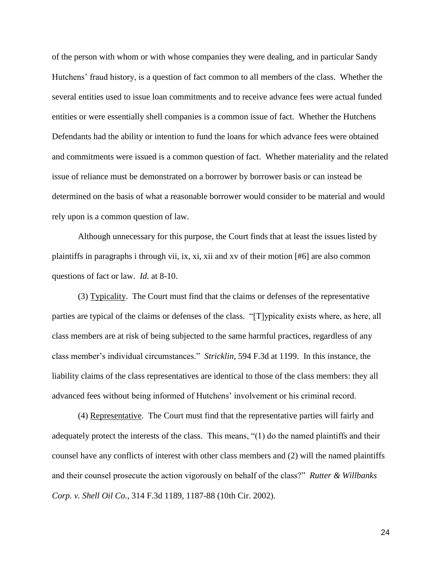of the person with whom or with whose companies they were dealing, and in particular Sandy Hutchens' fraud history, is a question of fact common to all members of the class. Whether the several entities used to issue loan commitments and to receive advance fees were actual funded entities or were essentially shell companies is a common issue of fact. Whether the Hutchens Defendants had the ability or intention to fund the loans for which advance fees were obtained and commitments were issued is a common question of fact. Whether materiality and the related issue of reliance must be demonstrated on a borrower by borrower basis or can instead be determined on the basis of what a reasonable borrower would consider to be material and would rely upon is a common question of law.

Although unnecessary for this purpose, the Court finds that at least the issues listed by plaintiffs in paragraphs i through vii, ix, xi, xii and xv of their motion [#6] are also common questions of fact or law. *Id.* at 8-10.

(3) Typicality. The Court must find that the claims or defenses of the representative parties are typical of the claims or defenses of the class. "[T]ypicality exists where, as here, all class members are at risk of being subjected to the same harmful practices, regardless of any class member's individual circumstances." *Stricklin*, 594 F.3d at 1199. In this instance, the liability claims of the class representatives are identical to those of the class members: they all advanced fees without being informed of Hutchens' involvement or his criminal record.

(4) Representative. The Court must find that the representative parties will fairly and adequately protect the interests of the class. This means, "(1) do the named plaintiffs and their counsel have any conflicts of interest with other class members and (2) will the named plaintiffs and their counsel prosecute the action vigorously on behalf of the class?" *Rutter & Willbanks Corp. v. Shell Oil Co.*, 314 F.3d 1189, 1187-88 (10th Cir. 2002).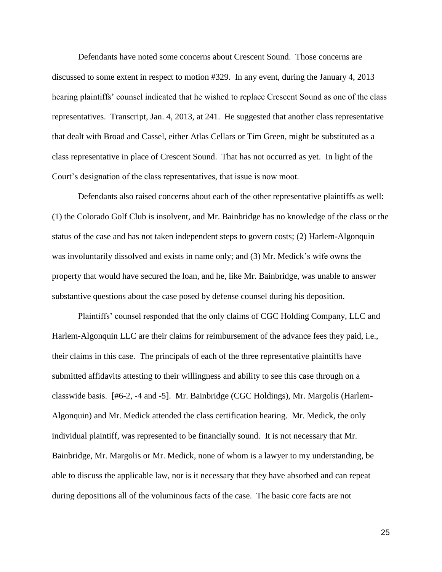Defendants have noted some concerns about Crescent Sound. Those concerns are discussed to some extent in respect to motion #329. In any event, during the January 4, 2013 hearing plaintiffs' counsel indicated that he wished to replace Crescent Sound as one of the class representatives. Transcript, Jan. 4, 2013, at 241. He suggested that another class representative that dealt with Broad and Cassel, either Atlas Cellars or Tim Green, might be substituted as a class representative in place of Crescent Sound. That has not occurred as yet. In light of the Court's designation of the class representatives, that issue is now moot.

Defendants also raised concerns about each of the other representative plaintiffs as well: (1) the Colorado Golf Club is insolvent, and Mr. Bainbridge has no knowledge of the class or the status of the case and has not taken independent steps to govern costs; (2) Harlem-Algonquin was involuntarily dissolved and exists in name only; and (3) Mr. Medick's wife owns the property that would have secured the loan, and he, like Mr. Bainbridge, was unable to answer substantive questions about the case posed by defense counsel during his deposition.

Plaintiffs' counsel responded that the only claims of CGC Holding Company, LLC and Harlem-Algonquin LLC are their claims for reimbursement of the advance fees they paid, i.e., their claims in this case. The principals of each of the three representative plaintiffs have submitted affidavits attesting to their willingness and ability to see this case through on a classwide basis. [#6-2, -4 and -5]. Mr. Bainbridge (CGC Holdings), Mr. Margolis (Harlem-Algonquin) and Mr. Medick attended the class certification hearing. Mr. Medick, the only individual plaintiff, was represented to be financially sound. It is not necessary that Mr. Bainbridge, Mr. Margolis or Mr. Medick, none of whom is a lawyer to my understanding, be able to discuss the applicable law, nor is it necessary that they have absorbed and can repeat during depositions all of the voluminous facts of the case. The basic core facts are not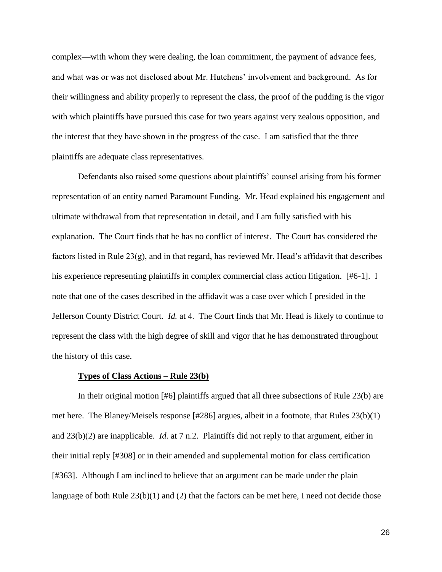complex—with whom they were dealing, the loan commitment, the payment of advance fees, and what was or was not disclosed about Mr. Hutchens' involvement and background. As for their willingness and ability properly to represent the class, the proof of the pudding is the vigor with which plaintiffs have pursued this case for two years against very zealous opposition, and the interest that they have shown in the progress of the case. I am satisfied that the three plaintiffs are adequate class representatives.

Defendants also raised some questions about plaintiffs' counsel arising from his former representation of an entity named Paramount Funding. Mr. Head explained his engagement and ultimate withdrawal from that representation in detail, and I am fully satisfied with his explanation. The Court finds that he has no conflict of interest. The Court has considered the factors listed in Rule 23(g), and in that regard, has reviewed Mr. Head's affidavit that describes his experience representing plaintiffs in complex commercial class action litigation. [#6-1]. I note that one of the cases described in the affidavit was a case over which I presided in the Jefferson County District Court. *Id.* at 4. The Court finds that Mr. Head is likely to continue to represent the class with the high degree of skill and vigor that he has demonstrated throughout the history of this case.

#### **Types of Class Actions – Rule 23(b)**

In their original motion [#6] plaintiffs argued that all three subsections of Rule 23(b) are met here. The Blaney/Meisels response [#286] argues, albeit in a footnote, that Rules 23(b)(1) and 23(b)(2) are inapplicable. *Id.* at 7 n.2. Plaintiffs did not reply to that argument, either in their initial reply [#308] or in their amended and supplemental motion for class certification [#363]. Although I am inclined to believe that an argument can be made under the plain language of both Rule  $23(b)(1)$  and (2) that the factors can be met here, I need not decide those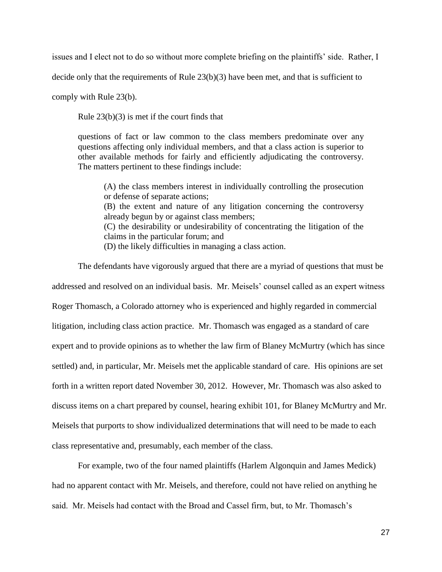issues and I elect not to do so without more complete briefing on the plaintiffs' side. Rather, I

decide only that the requirements of Rule 23(b)(3) have been met, and that is sufficient to

comply with Rule 23(b).

Rule 23(b)(3) is met if the court finds that

questions of fact or law common to the class members predominate over any questions affecting only individual members, and that a class action is superior to other available methods for fairly and efficiently adjudicating the controversy. The matters pertinent to these findings include:

(A) the class members interest in individually controlling the prosecution or defense of separate actions; (B) the extent and nature of any litigation concerning the controversy already begun by or against class members; (C) the desirability or undesirability of concentrating the litigation of the claims in the particular forum; and (D) the likely difficulties in managing a class action.

The defendants have vigorously argued that there are a myriad of questions that must be addressed and resolved on an individual basis. Mr. Meisels' counsel called as an expert witness Roger Thomasch, a Colorado attorney who is experienced and highly regarded in commercial litigation, including class action practice. Mr. Thomasch was engaged as a standard of care expert and to provide opinions as to whether the law firm of Blaney McMurtry (which has since settled) and, in particular, Mr. Meisels met the applicable standard of care. His opinions are set forth in a written report dated November 30, 2012. However, Mr. Thomasch was also asked to discuss items on a chart prepared by counsel, hearing exhibit 101, for Blaney McMurtry and Mr. Meisels that purports to show individualized determinations that will need to be made to each class representative and, presumably, each member of the class.

For example, two of the four named plaintiffs (Harlem Algonquin and James Medick) had no apparent contact with Mr. Meisels, and therefore, could not have relied on anything he said. Mr. Meisels had contact with the Broad and Cassel firm, but, to Mr. Thomasch's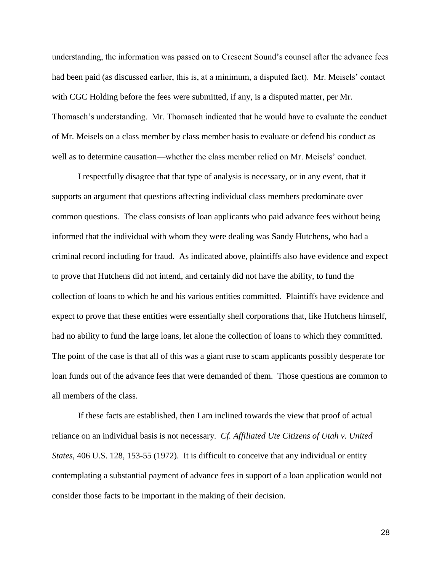understanding, the information was passed on to Crescent Sound's counsel after the advance fees had been paid (as discussed earlier, this is, at a minimum, a disputed fact). Mr. Meisels' contact with CGC Holding before the fees were submitted, if any, is a disputed matter, per Mr. Thomasch's understanding. Mr. Thomasch indicated that he would have to evaluate the conduct of Mr. Meisels on a class member by class member basis to evaluate or defend his conduct as well as to determine causation—whether the class member relied on Mr. Meisels' conduct.

I respectfully disagree that that type of analysis is necessary, or in any event, that it supports an argument that questions affecting individual class members predominate over common questions. The class consists of loan applicants who paid advance fees without being informed that the individual with whom they were dealing was Sandy Hutchens, who had a criminal record including for fraud. As indicated above, plaintiffs also have evidence and expect to prove that Hutchens did not intend, and certainly did not have the ability, to fund the collection of loans to which he and his various entities committed. Plaintiffs have evidence and expect to prove that these entities were essentially shell corporations that, like Hutchens himself, had no ability to fund the large loans, let alone the collection of loans to which they committed. The point of the case is that all of this was a giant ruse to scam applicants possibly desperate for loan funds out of the advance fees that were demanded of them. Those questions are common to all members of the class.

If these facts are established, then I am inclined towards the view that proof of actual reliance on an individual basis is not necessary. *Cf. Affiliated Ute Citizens of Utah v. United States*, 406 U.S. 128, 153-55 (1972). It is difficult to conceive that any individual or entity contemplating a substantial payment of advance fees in support of a loan application would not consider those facts to be important in the making of their decision.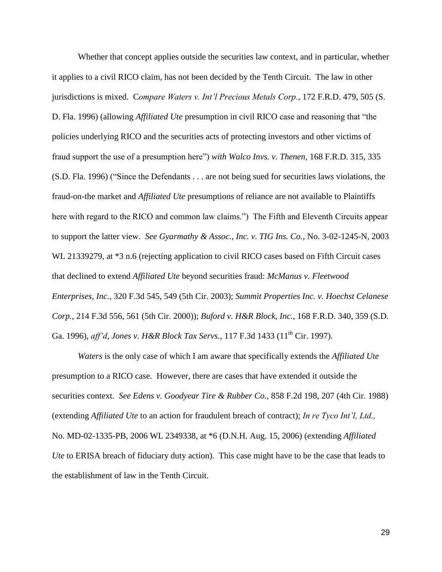Whether that concept applies outside the securities law context, and in particular, whether it applies to a civil RICO claim, has not been decided by the Tenth Circuit. The law in other jurisdictions is mixed. C*ompare Waters v. Int'l Precious Metals Corp.*, 172 F.R.D. 479, 505 (S. D. Fla. 1996) (allowing *Affiliated Ute* presumption in civil RICO case and reasoning that "the policies underlying RICO and the securities acts of protecting investors and other victims of fraud support the use of a presumption here") *with Walco Invs. v. Thenen*, 168 F.R.D. 315, 335 (S.D. Fla. 1996) ("Since the Defendants . . . are not being sued for securities laws violations, the fraud-on-the market and *Affiliated Ute* presumptions of reliance are not available to Plaintiffs here with regard to the RICO and common law claims.") The Fifth and Eleventh Circuits appear to support the latter view. *See Gyarmathy & Assoc., Inc. v. TIG Ins. Co.,* No. 3-02-1245-N, 2003 WL 21339279, at \*3 n.6 (rejecting application to civil RICO cases based on Fifth Circuit cases that declined to extend *Affiliated Ute* beyond securities fraud: *McManus v. Fleetwood Enterprises, Inc.*, 320 F.3d 545, 549 (5th Cir. 2003); *Summit Properties Inc. v. Hoechst Celanese Corp.*, 214 F.3d 556, 561 (5th Cir. 2000)); *Buford v. H&R Block, Inc.*, 168 F.R.D. 340, 359 (S.D. Ga. 1996), *aff'd*, *Jones v. H&R Block Tax Servs.*, 117 F.3d 1433 (11<sup>th</sup> Cir. 1997).

*Waters* is the only case of which I am aware that specifically extends the *Affiliated Ute*  presumption to a RICO case. However, there are cases that have extended it outside the securities context. *See Edens v. Goodyear Tire & Rubber Co.,* 858 F.2d 198, 207 (4th Cir. 1988) (extending *Affiliated Ute* to an action for fraudulent breach of contract); *In re Tyco Int'l, Ltd.,*  No. MD-02-1335-PB, 2006 WL 2349338, at \*6 (D.N.H. Aug. 15, 2006) (extending *Affiliated Ute* to ERISA breach of fiduciary duty action). This case might have to be the case that leads to the establishment of law in the Tenth Circuit.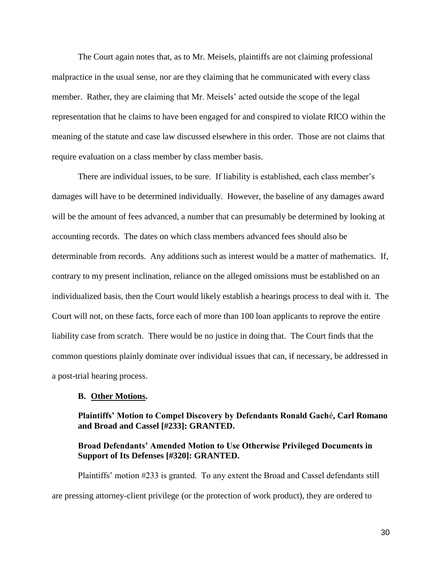The Court again notes that, as to Mr. Meisels, plaintiffs are not claiming professional malpractice in the usual sense, nor are they claiming that he communicated with every class member. Rather, they are claiming that Mr. Meisels' acted outside the scope of the legal representation that he claims to have been engaged for and conspired to violate RICO within the meaning of the statute and case law discussed elsewhere in this order. Those are not claims that require evaluation on a class member by class member basis.

There are individual issues, to be sure. If liability is established, each class member's damages will have to be determined individually. However, the baseline of any damages award will be the amount of fees advanced, a number that can presumably be determined by looking at accounting records. The dates on which class members advanced fees should also be determinable from records. Any additions such as interest would be a matter of mathematics. If, contrary to my present inclination, reliance on the alleged omissions must be established on an individualized basis, then the Court would likely establish a hearings process to deal with it. The Court will not, on these facts, force each of more than 100 loan applicants to reprove the entire liability case from scratch. There would be no justice in doing that. The Court finds that the common questions plainly dominate over individual issues that can, if necessary, be addressed in a post-trial hearing process.

#### **B. Other Motions.**

# **Plaintiffs' Motion to Compel Discovery by Defendants Ronald Gach**é**, Carl Romano and Broad and Cassel [#233]: GRANTED.**

# **Broad Defendants' Amended Motion to Use Otherwise Privileged Documents in Support of Its Defenses [#320]: GRANTED.**

Plaintiffs' motion #233 is granted. To any extent the Broad and Cassel defendants still are pressing attorney-client privilege (or the protection of work product), they are ordered to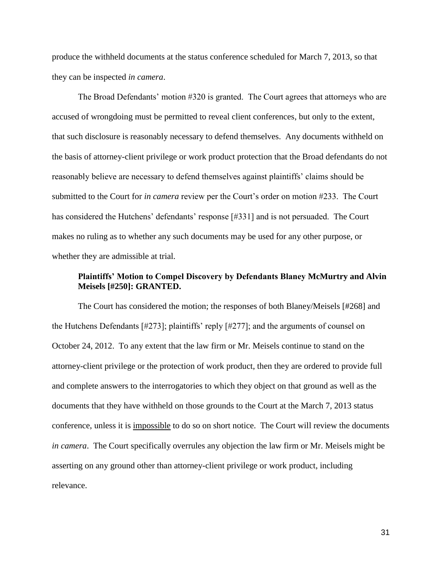produce the withheld documents at the status conference scheduled for March 7, 2013, so that they can be inspected *in camera*.

The Broad Defendants' motion #320 is granted. The Court agrees that attorneys who are accused of wrongdoing must be permitted to reveal client conferences, but only to the extent, that such disclosure is reasonably necessary to defend themselves. Any documents withheld on the basis of attorney-client privilege or work product protection that the Broad defendants do not reasonably believe are necessary to defend themselves against plaintiffs' claims should be submitted to the Court for *in camera* review per the Court's order on motion #233. The Court has considered the Hutchens' defendants' response [#331] and is not persuaded. The Court makes no ruling as to whether any such documents may be used for any other purpose, or whether they are admissible at trial.

# **Plaintiffs' Motion to Compel Discovery by Defendants Blaney McMurtry and Alvin Meisels [#250]: GRANTED.**

The Court has considered the motion; the responses of both Blaney/Meisels [#268] and the Hutchens Defendants [#273]; plaintiffs' reply [#277]; and the arguments of counsel on October 24, 2012. To any extent that the law firm or Mr. Meisels continue to stand on the attorney-client privilege or the protection of work product, then they are ordered to provide full and complete answers to the interrogatories to which they object on that ground as well as the documents that they have withheld on those grounds to the Court at the March 7, 2013 status conference, unless it is impossible to do so on short notice. The Court will review the documents *in camera*. The Court specifically overrules any objection the law firm or Mr. Meisels might be asserting on any ground other than attorney-client privilege or work product, including relevance.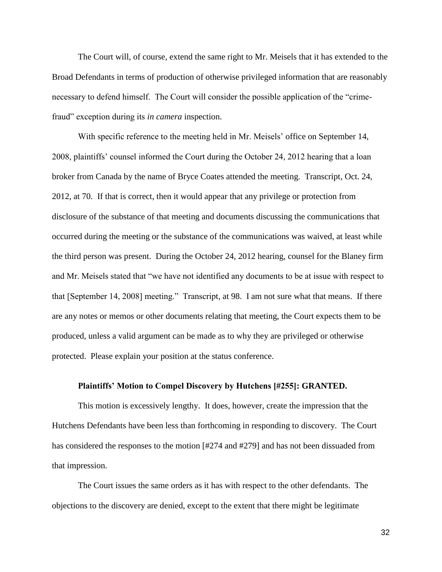The Court will, of course, extend the same right to Mr. Meisels that it has extended to the Broad Defendants in terms of production of otherwise privileged information that are reasonably necessary to defend himself. The Court will consider the possible application of the "crimefraud" exception during its *in camera* inspection.

With specific reference to the meeting held in Mr. Meisels' office on September 14, 2008, plaintiffs' counsel informed the Court during the October 24, 2012 hearing that a loan broker from Canada by the name of Bryce Coates attended the meeting. Transcript, Oct. 24, 2012, at 70. If that is correct, then it would appear that any privilege or protection from disclosure of the substance of that meeting and documents discussing the communications that occurred during the meeting or the substance of the communications was waived, at least while the third person was present. During the October 24, 2012 hearing, counsel for the Blaney firm and Mr. Meisels stated that "we have not identified any documents to be at issue with respect to that [September 14, 2008] meeting." Transcript, at 98. I am not sure what that means. If there are any notes or memos or other documents relating that meeting, the Court expects them to be produced, unless a valid argument can be made as to why they are privileged or otherwise protected. Please explain your position at the status conference.

## **Plaintiffs' Motion to Compel Discovery by Hutchens [#255]: GRANTED.**

This motion is excessively lengthy. It does, however, create the impression that the Hutchens Defendants have been less than forthcoming in responding to discovery. The Court has considered the responses to the motion [#274 and #279] and has not been dissuaded from that impression.

The Court issues the same orders as it has with respect to the other defendants. The objections to the discovery are denied, except to the extent that there might be legitimate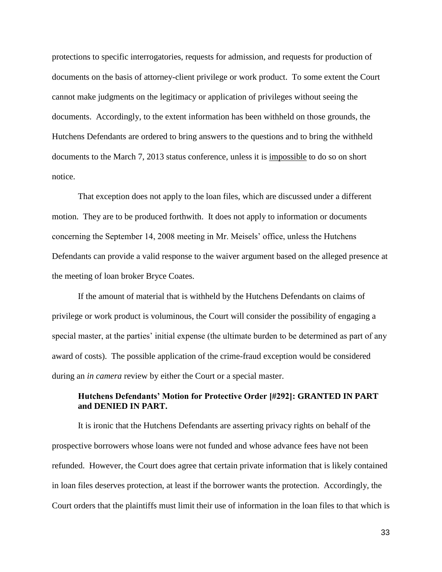protections to specific interrogatories, requests for admission, and requests for production of documents on the basis of attorney-client privilege or work product. To some extent the Court cannot make judgments on the legitimacy or application of privileges without seeing the documents. Accordingly, to the extent information has been withheld on those grounds, the Hutchens Defendants are ordered to bring answers to the questions and to bring the withheld documents to the March 7, 2013 status conference, unless it is impossible to do so on short notice.

That exception does not apply to the loan files, which are discussed under a different motion. They are to be produced forthwith. It does not apply to information or documents concerning the September 14, 2008 meeting in Mr. Meisels' office, unless the Hutchens Defendants can provide a valid response to the waiver argument based on the alleged presence at the meeting of loan broker Bryce Coates.

If the amount of material that is withheld by the Hutchens Defendants on claims of privilege or work product is voluminous, the Court will consider the possibility of engaging a special master, at the parties' initial expense (the ultimate burden to be determined as part of any award of costs). The possible application of the crime-fraud exception would be considered during an *in camera* review by either the Court or a special master.

# **Hutchens Defendants' Motion for Protective Order [#292]: GRANTED IN PART and DENIED IN PART.**

It is ironic that the Hutchens Defendants are asserting privacy rights on behalf of the prospective borrowers whose loans were not funded and whose advance fees have not been refunded. However, the Court does agree that certain private information that is likely contained in loan files deserves protection, at least if the borrower wants the protection. Accordingly, the Court orders that the plaintiffs must limit their use of information in the loan files to that which is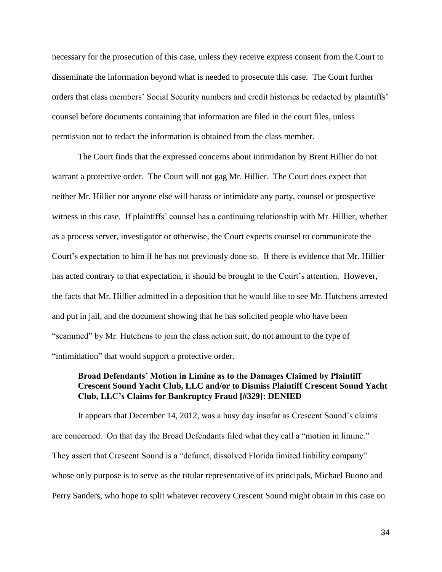necessary for the prosecution of this case, unless they receive express consent from the Court to disseminate the information beyond what is needed to prosecute this case. The Court further orders that class members' Social Security numbers and credit histories be redacted by plaintiffs' counsel before documents containing that information are filed in the court files, unless permission not to redact the information is obtained from the class member.

The Court finds that the expressed concerns about intimidation by Brent Hillier do not warrant a protective order. The Court will not gag Mr. Hillier. The Court does expect that neither Mr. Hillier nor anyone else will harass or intimidate any party, counsel or prospective witness in this case. If plaintiffs' counsel has a continuing relationship with Mr. Hillier, whether as a process server, investigator or otherwise, the Court expects counsel to communicate the Court's expectation to him if he has not previously done so. If there is evidence that Mr. Hillier has acted contrary to that expectation, it should be brought to the Court's attention. However, the facts that Mr. Hillier admitted in a deposition that he would like to see Mr. Hutchens arrested and put in jail, and the document showing that he has solicited people who have been "scammed" by Mr. Hutchens to join the class action suit, do not amount to the type of "intimidation" that would support a protective order.

## **Broad Defendants' Motion in Limine as to the Damages Claimed by Plaintiff Crescent Sound Yacht Club, LLC and/or to Dismiss Plaintiff Crescent Sound Yacht Club, LLC's Claims for Bankruptcy Fraud [#329]: DENIED**

It appears that December 14, 2012, was a busy day insofar as Crescent Sound's claims are concerned. On that day the Broad Defendants filed what they call a "motion in limine." They assert that Crescent Sound is a "defunct, dissolved Florida limited liability company" whose only purpose is to serve as the titular representative of its principals, Michael Buono and Perry Sanders, who hope to split whatever recovery Crescent Sound might obtain in this case on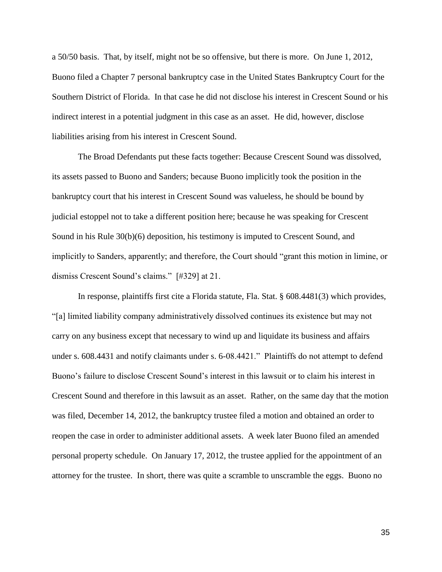a 50/50 basis. That, by itself, might not be so offensive, but there is more. On June 1, 2012, Buono filed a Chapter 7 personal bankruptcy case in the United States Bankruptcy Court for the Southern District of Florida. In that case he did not disclose his interest in Crescent Sound or his indirect interest in a potential judgment in this case as an asset. He did, however, disclose liabilities arising from his interest in Crescent Sound.

The Broad Defendants put these facts together: Because Crescent Sound was dissolved, its assets passed to Buono and Sanders; because Buono implicitly took the position in the bankruptcy court that his interest in Crescent Sound was valueless, he should be bound by judicial estoppel not to take a different position here; because he was speaking for Crescent Sound in his Rule 30(b)(6) deposition, his testimony is imputed to Crescent Sound, and implicitly to Sanders, apparently; and therefore, the Court should "grant this motion in limine, or dismiss Crescent Sound's claims." [#329] at 21.

In response, plaintiffs first cite a Florida statute, Fla. Stat. § 608.4481(3) which provides, "[a] limited liability company administratively dissolved continues its existence but may not carry on any business except that necessary to wind up and liquidate its business and affairs under s. 608.4431 and notify claimants under s. 6-08.4421." Plaintiffs do not attempt to defend Buono's failure to disclose Crescent Sound's interest in this lawsuit or to claim his interest in Crescent Sound and therefore in this lawsuit as an asset. Rather, on the same day that the motion was filed, December 14, 2012, the bankruptcy trustee filed a motion and obtained an order to reopen the case in order to administer additional assets. A week later Buono filed an amended personal property schedule. On January 17, 2012, the trustee applied for the appointment of an attorney for the trustee. In short, there was quite a scramble to unscramble the eggs. Buono no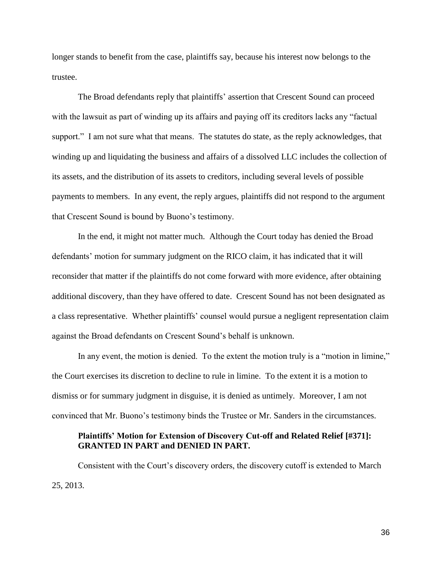longer stands to benefit from the case, plaintiffs say, because his interest now belongs to the trustee.

The Broad defendants reply that plaintiffs' assertion that Crescent Sound can proceed with the lawsuit as part of winding up its affairs and paying off its creditors lacks any "factual support." I am not sure what that means. The statutes do state, as the reply acknowledges, that winding up and liquidating the business and affairs of a dissolved LLC includes the collection of its assets, and the distribution of its assets to creditors, including several levels of possible payments to members. In any event, the reply argues, plaintiffs did not respond to the argument that Crescent Sound is bound by Buono's testimony.

In the end, it might not matter much. Although the Court today has denied the Broad defendants' motion for summary judgment on the RICO claim, it has indicated that it will reconsider that matter if the plaintiffs do not come forward with more evidence, after obtaining additional discovery, than they have offered to date. Crescent Sound has not been designated as a class representative. Whether plaintiffs' counsel would pursue a negligent representation claim against the Broad defendants on Crescent Sound's behalf is unknown.

In any event, the motion is denied. To the extent the motion truly is a "motion in limine," the Court exercises its discretion to decline to rule in limine. To the extent it is a motion to dismiss or for summary judgment in disguise, it is denied as untimely. Moreover, I am not convinced that Mr. Buono's testimony binds the Trustee or Mr. Sanders in the circumstances.

## **Plaintiffs' Motion for Extension of Discovery Cut-off and Related Relief [#371]: GRANTED IN PART and DENIED IN PART.**

Consistent with the Court's discovery orders, the discovery cutoff is extended to March 25, 2013.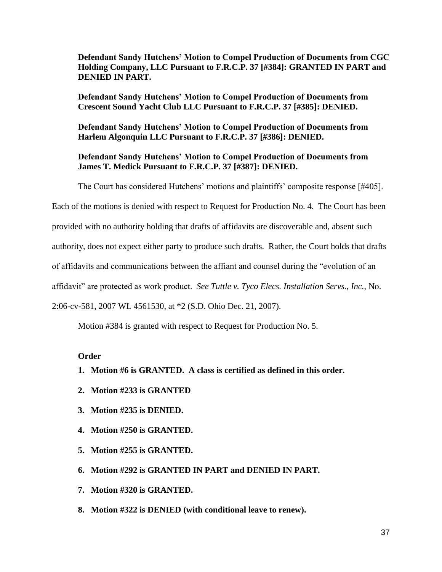**Defendant Sandy Hutchens' Motion to Compel Production of Documents from CGC Holding Company, LLC Pursuant to F.R.C.P. 37 [#384]: GRANTED IN PART and DENIED IN PART.**

**Defendant Sandy Hutchens' Motion to Compel Production of Documents from Crescent Sound Yacht Club LLC Pursuant to F.R.C.P. 37 [#385]: DENIED.**

**Defendant Sandy Hutchens' Motion to Compel Production of Documents from Harlem Algonquin LLC Pursuant to F.R.C.P. 37 [#386]: DENIED.**

# **Defendant Sandy Hutchens' Motion to Compel Production of Documents from James T. Medick Pursuant to F.R.C.P. 37 [#387]: DENIED.**

The Court has considered Hutchens' motions and plaintiffs' composite response [#405].

Each of the motions is denied with respect to Request for Production No. 4. The Court has been

provided with no authority holding that drafts of affidavits are discoverable and, absent such

authority, does not expect either party to produce such drafts. Rather, the Court holds that drafts

of affidavits and communications between the affiant and counsel during the "evolution of an

affidavit" are protected as work product. *See Tuttle v. Tyco Elecs. Installation Servs., Inc.*, No.

2:06-cv-581, 2007 WL 4561530, at \*2 (S.D. Ohio Dec. 21, 2007).

Motion #384 is granted with respect to Request for Production No. 5.

# **Order**

- **1. Motion #6 is GRANTED. A class is certified as defined in this order.**
- **2. Motion #233 is GRANTED**
- **3. Motion #235 is DENIED.**
- **4. Motion #250 is GRANTED.**
- **5. Motion #255 is GRANTED.**
- **6. Motion #292 is GRANTED IN PART and DENIED IN PART.**
- **7. Motion #320 is GRANTED.**
- **8. Motion #322 is DENIED (with conditional leave to renew).**